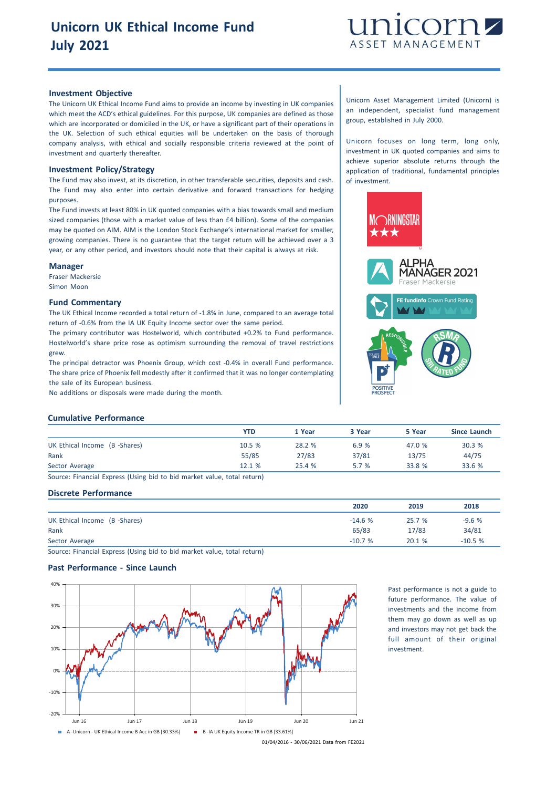

## **Investment Objective**

The Unicorn UK Ethical Income Fund aims to provide an income by investing in UK companies which meet the ACD's ethical guidelines. For this purpose, UK companies are defined as those which are incorporated or domiciled in the UK, or have a significant part of their operations in the UK. Selection of such ethical equities will be undertaken on the basis of thorough company analysis, with ethical and socially responsible criteria reviewed at the point of investment and quarterly thereafter.

#### **Investment Policy/Strategy**

The Fund may also invest, at its discretion, in other transferable securities, deposits and cash. The Fund may also enter into certain derivative and forward transactions for hedging purposes.

The Fund invests at least 80% in UK quoted companies with a bias towards small and medium sized companies (those with a market value of less than £4 billion). Some of the companies may be quoted on AIM. AIM is the London Stock Exchange's international market for smaller, growing companies. There is no guarantee that the target return will be achieved over a 3 year, or any other period, and investors should note that their capital is always at risk.

### **Manager**

Fraser Mackersie Simon Moon

### **Fund Commentary**

The UK Ethical Income recorded a total return of -1.8% in June, compared to an average total return of -0.6% from the IA UK Equity Income sector over the same period.

The primary contributor was Hostelworld, which contributed +0.2% to Fund performance. Hostelworld's share price rose as optimism surrounding the removal of travel restrictions grew.

The principal detractor was Phoenix Group, which cost -0.4% in overall Fund performance. The share price of Phoenix fell modestly after it confirmed that it was no longer contemplating the sale of its European business.

No additions or disposals were made during the month.

Unicorn Asset Management Limited (Unicorn) is an independent, specialist fund management group, established in July 2000.

Unicorn focuses on long term, long only, investment in UK quoted companies and aims to achieve superior absolute returns through the application of traditional, fundamental principles of investment.



## **Cumulative Performance**

|                               | <b>YTD</b> | 1 Year | 3 Year | 5 Year | Since Launch |
|-------------------------------|------------|--------|--------|--------|--------------|
| UK Ethical Income (B -Shares) | 10.5 %     | 28.2 % | 6.9%   | 47.0 % | 30.3 %       |
| Rank                          | 55/85      | 27/83  | 37/81  | 13/75  | 44/75        |
| Sector Average                | 12.1 %     | 25.4 % | 5.7%   | 33.8 % | 33.6 %       |

Source: Financial Express (Using bid to bid market value, total return)

# **Discrete Performance**

|                               | 2020     | 2019   | 2018     |
|-------------------------------|----------|--------|----------|
| UK Ethical Income (B -Shares) | $-14.6%$ | 25.7 % | $-9.6%$  |
| Rank                          | 65/83    | 17/83  | 34/81    |
| Sector Average                | $-10.7%$ | 20.1%  | $-10.5%$ |

Source: Financial Express (Using bid to bid market value, total return)

# **Past Performance - Since Launch**



Past performance is not a guide to future performance. The value of investments and the income from them may go down as well as up and investors may not get back the full amount of their original investment.

01/04/2016 - 30/06/2021 Data from FE2021